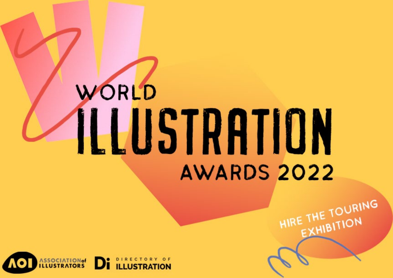# WORLD **ILLUSTRATION AWARDS 2022**

HIRE THE TOURING

EXHIBITION

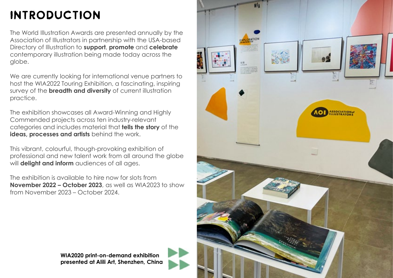# Introduction

The World Illustration Awards are presented annually by the Association of Illustrators in partnership with the USA-based Directory of Illustration to **support**, **promote** and **celebrate** contemporary illustration being made today across the globe.

We are currently looking for international venue partners to host the WIA2022 Touring Exhibition, a fascinating, inspiring survey of the **breadth and diversity** of current illustration practice.

The exhibition showcases all Award-Winning and Highly Commended projects across ten industry-relevant categories and includes material that **tells the story** of the **ideas, processes and artists** behind the work.

This vibrant, colourful, though-provoking exhibition of professional and new talent work from all around the globe will **delight and inform** audiences of all ages.

The exhibition is available to hire now for slots from **November 2022 – October 2023**, as well as WIA2023 to show from November 2023 – October 2024.



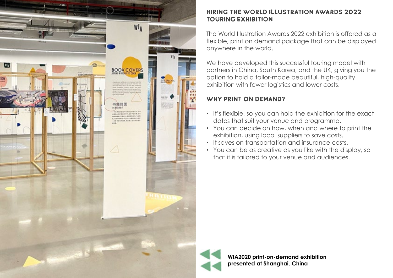

#### Hiring the World Illustration Awards 2022 Touring Exhibition

The World Illustration Awards 2022 exhibition is offered as a flexible, print on demand package that can be displayed anywhere in the world.

We have developed this successful touring model with partners in China, South Korea, and the UK, giving you the option to hold a tailor-made beautiful, high-quality exhibition with fewer logistics and lower costs.

# Why print on demand?

- It's flexible, so you can hold the exhibition for the exact dates that suit your venue and programme.
- You can decide on how, when and where to print the exhibition, using local suppliers to save costs.
- It saves on transportation and insurance costs.
- You can be as creative as you like with the display, so that it is tailored to your venue and audiences.



**WIA2020 print-on-demand exhibition presented at Shanghai, China**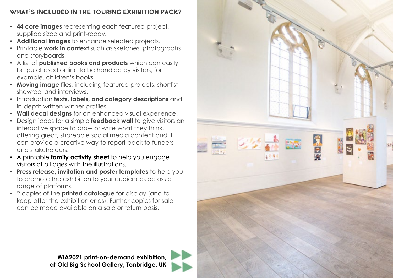# What's included in the Touring Exhibition pack?

- **44 core images** representing each featured project, supplied sized and print-ready.
- **Additional images** to enhance selected projects.
- Printable **work in context** such as sketches, photographs and storyboards.
- A list of **published books and products** which can easily be purchased online to be handled by visitors, for example, children's books.
- **Moving image** files, including featured projects, shortlist showreel and interviews.
- Introduction **texts, labels, and category descriptions** and in-depth written winner profiles.
- **Wall decal designs** for an enhanced visual experience.
- Design ideas for a simple **feedback wall** to give visitors an interactive space to draw or write what they think, offering great, shareable social media content and it can provide a creative way to report back to funders and stakeholders.
- A printable **family activity sheet** to help you engage visitors of all ages with the illustrations.
- **Press release, invitation and poster templates** to help you to promote the exhibition to your audiences across a range of platforms.
- 2 copies of the **printed catalogue** for display (and to keep after the exhibition ends). Further copies for sale can be made available on a sale or return basis.



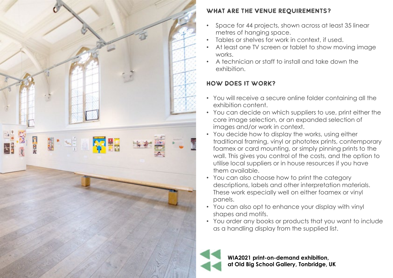

# WHAT ARE THE VENUE REQUIREMENTS?

- Space for 44 projects, shown across at least 35 linear metres of hanging space.
- Tables or shelves for work in context, if used.
- At least one TV screen or tablet to show moving image works.
- A technician or staff to install and take down the exhibition.

# How does it work?

- You will receive a secure online folder containing all the exhibition content.
- You can decide on which suppliers to use, print either the core image selection, or an expanded selection of images and/or work in context.
- You decide how to display the works, using either traditional framing, vinyl or phototex prints, contemporary foamex or card mounting, or simply pinning prints to the wall. This gives you control of the costs, and the option to utilise local suppliers or in house resources if you have them available.
- You can also choose how to print the category descriptions, labels and other interpretation materials. These work especially well on either foamex or vinyl panels.
- You can also opt to enhance your display with vinyl shapes and motifs.
- You order any books or products that you want to include as a handling display from the supplied list.



**WIA2021 print-on-demand exhibition, at Old Big School Gallery, Tonbridge, UK**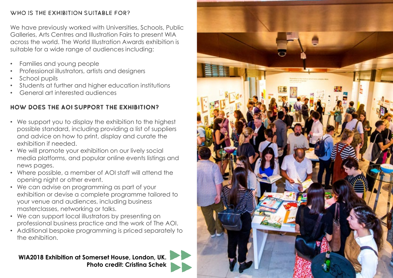#### WHO IS THE EXHIBITION SUITABLE FOR?

We have previously worked with Universities, Schools, Public Galleries, Arts Centres and Illustration Fairs to present WIA across the world. The World Illustration Awards exhibition is suitable for a wide range of audiences including:

- Families and young people
- Professional illustrators, artists and designers
- School pupils
- Students at further and higher education institutions
- General art interested audiences

# HOW DOES THE AOI SUPPORT THE EXHIBITION?

- We support you to display the exhibition to the highest possible standard, including providing a list of suppliers and advice on how to print, display and curate the exhibition if needed.
- We will promote your exhibition on our lively social media platforms, and popular online events listings and news pages.
- Where possible, a member of AOI staff will attend the opening night or other event.
- We can advise on programming as part of your exhibition or devise a complete programme tailored to your venue and audiences, including business masterclasses, networking or talks.
- We can support local illustrators by presenting on professional business practice and the work of The AOI.
- Additional bespoke programming is priced separately to the exhibition.

**WIA2018 Exhibition at Somerset House, London, UK. Photo credit: Cristina Schek**

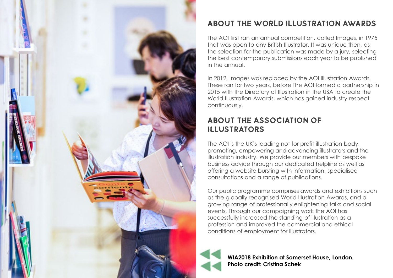

# About the World Illustration Awards

The AOI first ran an annual competition, called Images, in 1975 that was open to any British Illustrator. It was unique then, as the selection for the publication was made by a jury, selecting the best contemporary submissions each year to be published in the annual.

In 2012, Images was replaced by the AOI Illustration Awards. These ran for two years, before The AOI formed a partnership in 2015 with the Directory of Illustration in the USA to create the World Illustration Awards, which has gained industry respect continuously.

# About the Association of Illustrators

The AOI is the UK's leading not for profit illustration body, promoting, empowering and advancing illustrators and the illustration industry. We provide our members with bespoke business advice through our dedicated helpline as well as offering a website bursting with information, specialised consultations and a range of publications.

Our public programme comprises awards and exhibitions such as the globally recognised World Illustration Awards, and a growing range of professionally enlightening talks and social events. Through our campaigning work the AOI has successfully increased the standing of illustration as a profession and improved the commercial and ethical conditions of employment for illustrators.



**WIA2018 Exhibition at Somerset House, London. Photo credit: Cristina Schek**